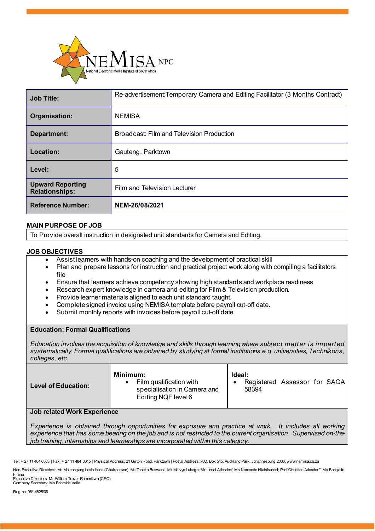

| <b>Job Title:</b>                                | Re-advertisement: Temporary Camera and Editing Facilitator (3 Months Contract) |
|--------------------------------------------------|--------------------------------------------------------------------------------|
| Organisation:                                    | <b>NEMISA</b>                                                                  |
| Department:                                      | Broadcast: Film and Television Production                                      |
| Location:                                        | Gauteng, Parktown                                                              |
| Level:                                           | 5                                                                              |
| <b>Upward Reporting</b><br><b>Relationships:</b> | Film and Television Lecturer                                                   |
| <b>Reference Number:</b>                         | NEM-26/08/2021                                                                 |

## **MAIN PURPOSE OF JOB**

To Provide overall instruction in designated unit standards for Camera and Editing.

## **JOB OBJECTIVES**

- Assist learners with hands-on coaching and the development of practical skill
- Plan and prepare lessons for instruction and practical project work along with compiling a facilitators file
- Ensure that learners achieve competency showing high standards and workplace readiness
- Research expert knowledge in camera and editing for Film & Television production.
- Provide learner materials aligned to each unit standard taught.
- Complete signed invoice using NEMISA template before payroll cut-off date.
- Submit monthly reports with invoices before payroll cut-off date.

### **Education: Formal Qualifications**

*Education involves the acquisition of knowledge and skills through learning where subject matter is imparted systematically. Formal qualifications are obtained by studying at formal institutions e.g. universities, Technikons, colleges, etc.*

| Ideal:<br>Minimum:<br>Film qualification with<br>Registered Assessor for SAQA<br><b>Level of Education:</b><br>specialisation in Camera and<br>58394<br>Editing NQF level 6 |  |
|-----------------------------------------------------------------------------------------------------------------------------------------------------------------------------|--|
|                                                                                                                                                                             |  |

### **Job related Work Experience**

*Experience is obtained through opportunities for exposure and practice at work. It includes all working experience that has some bearing on the job and is not restricted to the current organisation. Supervised on-thejob training, internships and learnerships are incorporated within this category.*

Filana Executive Directors: Mr William Trevor Rammitlwa (CEO) Company Secretary: Ms Fahmida Valla

Reg no. 98/14825/08

Tel: + 27 11 484 0583 | Fax: + 27 11 484 0615 | Physical Address: 21 Girton Road, Parktown | Postal Address: P.O. Box 545, Auckland Park, Johannesburg 2006, www.nemisa.co.za

Non-Executive Directors: Ms Molebogeng Leshabane (Chairperson); Ms Tobeka Buswana; Mr Melvyn Lubega; Mr Lionel Adendorf; Ms Nomonde Hlatshaneni; Prof Christian Adendorff; Ms Bongekile